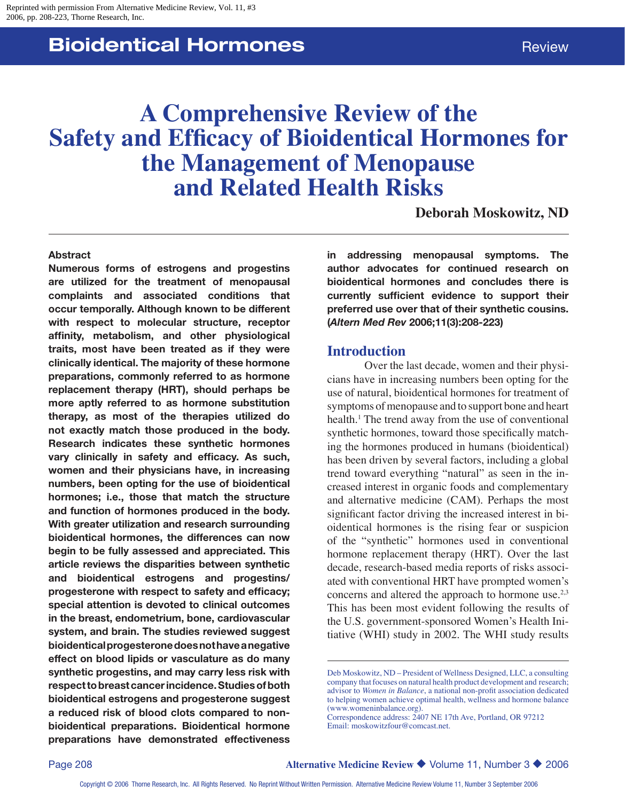# **Bioidentical Hormones Review Review**

# **A Comprehensive Review of the Safety and Efficacy of Bioidentical Hormones for the Management of Menopause and Related Health Risks**

**Deborah Moskowitz, ND**

#### **Abstract**

**Numerous forms of estrogens and progestins are utilized for the treatment of menopausal complaints and associated conditions that occur temporally. Although known to be different with respect to molecular structure, receptor affinity, metabolism, and other physiological traits, most have been treated as if they were clinically identical. The majority of these hormone preparations, commonly referred to as hormone replacement therapy (HRT), should perhaps be more aptly referred to as hormone substitution therapy, as most of the therapies utilized do not exactly match those produced in the body. Research indicates these synthetic hormones vary clinically in safety and efficacy. As such, women and their physicians have, in increasing numbers, been opting for the use of bioidentical hormones; i.e., those that match the structure and function of hormones produced in the body. With greater utilization and research surrounding bioidentical hormones, the differences can now begin to be fully assessed and appreciated. This article reviews the disparities between synthetic and bioidentical estrogens and progestins/ progesterone with respect to safety and efficacy; special attention is devoted to clinical outcomes in the breast, endometrium, bone, cardiovascular system, and brain. The studies reviewed suggest bioidentical progesterone does not have a negative effect on blood lipids or vasculature as do many synthetic progestins, and may carry less risk with respect to breast cancer incidence. Studies of both bioidentical estrogens and progesterone suggest a reduced risk of blood clots compared to nonbioidentical preparations. Bioidentical hormone preparations have demonstrated effectiveness** 

**in addressing menopausal symptoms. The author advocates for continued research on bioidentical hormones and concludes there is currently sufficient evidence to support their preferred use over that of their synthetic cousins. (***Altern Med Rev* **2006;11(3):208-223)**

#### **Introduction**

Over the last decade, women and their physicians have in increasing numbers been opting for the use of natural, bioidentical hormones for treatment of symptoms of menopause and to support bone and heart health.<sup>1</sup> The trend away from the use of conventional synthetic hormones, toward those specifically matching the hormones produced in humans (bioidentical) has been driven by several factors, including a global trend toward everything "natural" as seen in the increased interest in organic foods and complementary and alternative medicine (CAM). Perhaps the most significant factor driving the increased interest in bioidentical hormones is the rising fear or suspicion of the "synthetic" hormones used in conventional hormone replacement therapy (HRT). Over the last decade, research-based media reports of risks associated with conventional HRT have prompted women's concerns and altered the approach to hormone use.<sup>2,3</sup> This has been most evident following the results of the U.S. government-sponsored Women's Health Initiative (WHI) study in 2002. The WHI study results

Deb Moskowitz, ND – President of Wellness Designed, LLC, a consulting company that focuses on natural health product development and research; advisor to *Women in Balance*, a national non-profit association dedicated to helping women achieve optimal health, wellness and hormone balance (www.womeninbalance.org).

Correspondence address: 2407 NE 17th Ave, Portland, OR 97212 Email: moskowitzfour@comcast.net.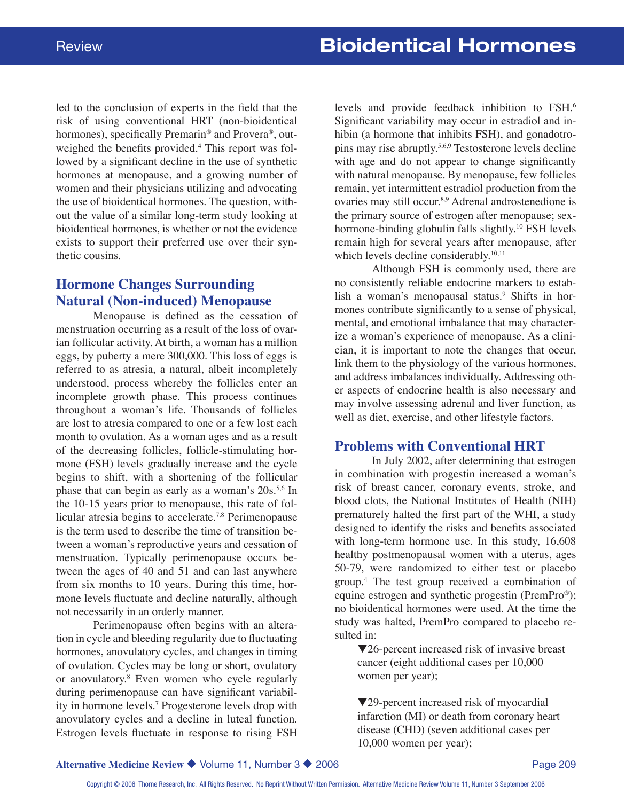led to the conclusion of experts in the field that the risk of using conventional HRT (non-bioidentical hormones), specifically Premarin® and Provera®, outweighed the benefits provided.<sup>4</sup> This report was followed by a significant decline in the use of synthetic hormones at menopause, and a growing number of women and their physicians utilizing and advocating the use of bioidentical hormones. The question, without the value of a similar long-term study looking at bioidentical hormones, is whether or not the evidence exists to support their preferred use over their synthetic cousins.

### **Hormone Changes Surrounding Natural (Non-induced) Menopause**

Menopause is defined as the cessation of menstruation occurring as a result of the loss of ovarian follicular activity. At birth, a woman has a million eggs, by puberty a mere 300,000. This loss of eggs is referred to as atresia, a natural, albeit incompletely understood, process whereby the follicles enter an incomplete growth phase. This process continues throughout a woman's life. Thousands of follicles are lost to atresia compared to one or a few lost each month to ovulation. As a woman ages and as a result of the decreasing follicles, follicle-stimulating hormone (FSH) levels gradually increase and the cycle begins to shift, with a shortening of the follicular phase that can begin as early as a woman's  $20s^{5,6}$  In the 10-15 years prior to menopause, this rate of follicular atresia begins to accelerate.<sup>7,8</sup> Perimenopause is the term used to describe the time of transition between a woman's reproductive years and cessation of menstruation. Typically perimenopause occurs between the ages of 40 and 51 and can last anywhere from six months to 10 years. During this time, hormone levels fluctuate and decline naturally, although not necessarily in an orderly manner.

Perimenopause often begins with an alteration in cycle and bleeding regularity due to fluctuating hormones, anovulatory cycles, and changes in timing of ovulation. Cycles may be long or short, ovulatory or anovulatory.8 Even women who cycle regularly during perimenopause can have significant variability in hormone levels.7 Progesterone levels drop with anovulatory cycles and a decline in luteal function. Estrogen levels fluctuate in response to rising FSH

levels and provide feedback inhibition to FSH.6 Significant variability may occur in estradiol and inhibin (a hormone that inhibits FSH), and gonadotropins may rise abruptly.5,6,9 Testosterone levels decline with age and do not appear to change significantly with natural menopause. By menopause, few follicles remain, yet intermittent estradiol production from the ovaries may still occur.8,9 Adrenal androstenedione is the primary source of estrogen after menopause; sexhormone-binding globulin falls slightly.<sup>10</sup> FSH levels remain high for several years after menopause, after which levels decline considerably.<sup>10,11</sup>

Although FSH is commonly used, there are no consistently reliable endocrine markers to establish a woman's menopausal status.<sup>9</sup> Shifts in hormones contribute significantly to a sense of physical, mental, and emotional imbalance that may characterize a woman's experience of menopause. As a clinician, it is important to note the changes that occur, link them to the physiology of the various hormones, and address imbalances individually. Addressing other aspects of endocrine health is also necessary and may involve assessing adrenal and liver function, as well as diet, exercise, and other lifestyle factors.

#### **Problems with Conventional HRT**

In July 2002, after determining that estrogen in combination with progestin increased a woman's risk of breast cancer, coronary events, stroke, and blood clots, the National Institutes of Health (NIH) prematurely halted the first part of the WHI, a study designed to identify the risks and benefits associated with long-term hormone use. In this study, 16,608 healthy postmenopausal women with a uterus, ages 50-79, were randomized to either test or placebo group.4 The test group received a combination of equine estrogen and synthetic progestin (PremPro®); no bioidentical hormones were used. At the time the study was halted, PremPro compared to placebo resulted in:

 $\blacktriangledown$ 26-percent increased risk of invasive breast cancer (eight additional cases per 10,000 women per year);

 $\blacktriangledown$ 29-percent increased risk of myocardial infarction (MI) or death from coronary heart disease (CHD) (seven additional cases per 10,000 women per year);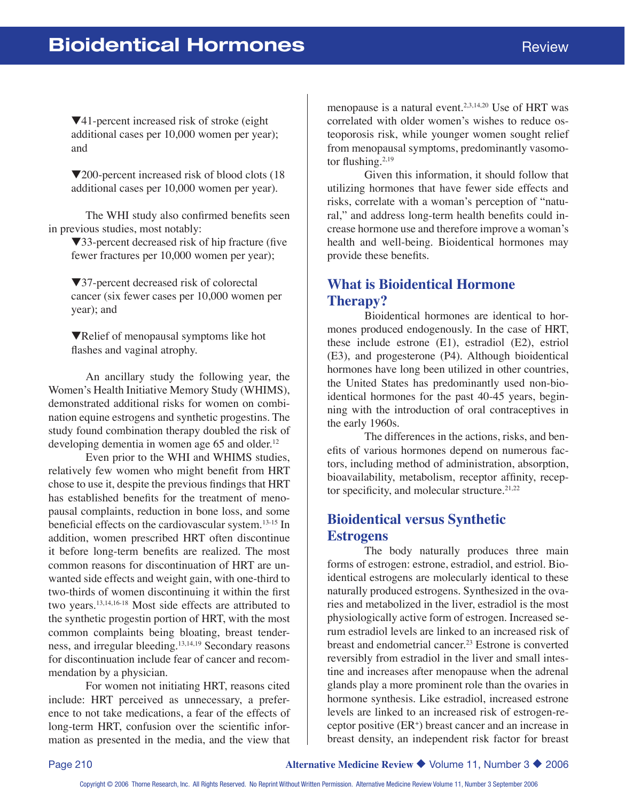$\nabla$ 41-percent increased risk of stroke (eight) additional cases per 10,000 women per year); and

 $\blacktriangledown$ 200-percent increased risk of blood clots (18) additional cases per 10,000 women per year).

The WHI study also confirmed benefits seen in previous studies, most notably:

 $\blacktriangledown$ 33-percent decreased risk of hip fracture (five fewer fractures per 10,000 women per year);

 $\blacktriangledown$ 37-percent decreased risk of colorectal cancer (six fewer cases per 10,000 women per year); and

**VRelief of menopausal symptoms like hot** flashes and vaginal atrophy.

An ancillary study the following year, the Women's Health Initiative Memory Study (WHIMS), demonstrated additional risks for women on combination equine estrogens and synthetic progestins. The study found combination therapy doubled the risk of developing dementia in women age 65 and older.<sup>12</sup>

Even prior to the WHI and WHIMS studies, relatively few women who might benefit from HRT chose to use it, despite the previous findings that HRT has established benefits for the treatment of menopausal complaints, reduction in bone loss, and some beneficial effects on the cardiovascular system.13-15 In addition, women prescribed HRT often discontinue it before long-term benefits are realized. The most common reasons for discontinuation of HRT are unwanted side effects and weight gain, with one-third to two-thirds of women discontinuing it within the first two years.13,14,16-18 Most side effects are attributed to the synthetic progestin portion of HRT, with the most common complaints being bloating, breast tenderness, and irregular bleeding.13,14,19 Secondary reasons for discontinuation include fear of cancer and recommendation by a physician.

For women not initiating HRT, reasons cited include: HRT perceived as unnecessary, a preference to not take medications, a fear of the effects of long-term HRT, confusion over the scientific information as presented in the media, and the view that menopause is a natural event.<sup>2,3,14,20</sup> Use of HRT was correlated with older women's wishes to reduce osteoporosis risk, while younger women sought relief from menopausal symptoms, predominantly vasomotor flushing.<sup>2,19</sup>

Given this information, it should follow that utilizing hormones that have fewer side effects and risks, correlate with a woman's perception of "natural," and address long-term health benefits could increase hormone use and therefore improve a woman's health and well-being. Bioidentical hormones may provide these benefits.

#### **What is Bioidentical Hormone Therapy?**

Bioidentical hormones are identical to hormones produced endogenously. In the case of HRT, these include estrone (E1), estradiol (E2), estriol (E3), and progesterone (P4). Although bioidentical hormones have long been utilized in other countries, the United States has predominantly used non-bioidentical hormones for the past 40-45 years, beginning with the introduction of oral contraceptives in the early 1960s.

The differences in the actions, risks, and benefits of various hormones depend on numerous factors, including method of administration, absorption, bioavailability, metabolism, receptor affinity, receptor specificity, and molecular structure. $21,22$ 

#### **Bioidentical versus Synthetic Estrogens**

The body naturally produces three main forms of estrogen: estrone, estradiol, and estriol. Bioidentical estrogens are molecularly identical to these naturally produced estrogens. Synthesized in the ovaries and metabolized in the liver, estradiol is the most physiologically active form of estrogen. Increased serum estradiol levels are linked to an increased risk of breast and endometrial cancer.<sup>23</sup> Estrone is converted reversibly from estradiol in the liver and small intestine and increases after menopause when the adrenal glands play a more prominent role than the ovaries in hormone synthesis. Like estradiol, increased estrone levels are linked to an increased risk of estrogen-receptor positive (ER+ ) breast cancer and an increase in breast density, an independent risk factor for breast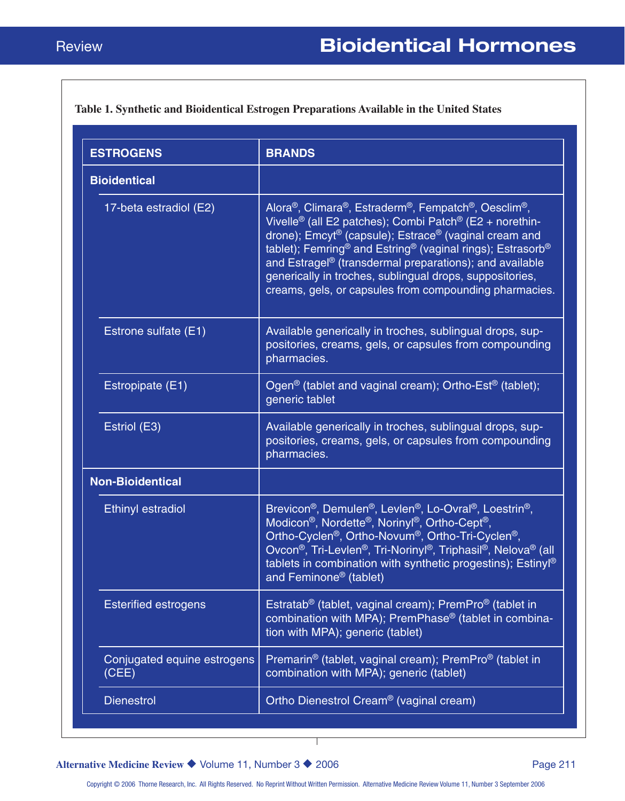#### **Table 1. Synthetic and Bioidentical Estrogen Preparations Available in the United States**

| <b>ESTROGENS</b>                     | <b>BRANDS</b>                                                                                                                                                                                                                                                                                                                                                                                                                                                                                                                                                     |
|--------------------------------------|-------------------------------------------------------------------------------------------------------------------------------------------------------------------------------------------------------------------------------------------------------------------------------------------------------------------------------------------------------------------------------------------------------------------------------------------------------------------------------------------------------------------------------------------------------------------|
| <b>Bioidentical</b>                  |                                                                                                                                                                                                                                                                                                                                                                                                                                                                                                                                                                   |
| 17-beta estradiol (E2)               | Alora®, Climara®, Estraderm®, Fempatch®, Oesclim®,<br>Vivelle <sup>®</sup> (all E2 patches); Combi Patch <sup>®</sup> (E2 + norethin-<br>drone); Emcyt® (capsule); Estrace® (vaginal cream and<br>tablet); Femring <sup>®</sup> and Estring <sup>®</sup> (vaginal rings); Estrasorb <sup>®</sup><br>and Estragel <sup>®</sup> (transdermal preparations); and available<br>generically in troches, sublingual drops, suppositories,<br>creams, gels, or capsules from compounding pharmacies.                                                                     |
| Estrone sulfate (E1)                 | Available generically in troches, sublingual drops, sup-<br>positories, creams, gels, or capsules from compounding<br>pharmacies.                                                                                                                                                                                                                                                                                                                                                                                                                                 |
| Estropipate (E1)                     | Ogen <sup>®</sup> (tablet and vaginal cream); Ortho-Est <sup>®</sup> (tablet);<br>generic tablet                                                                                                                                                                                                                                                                                                                                                                                                                                                                  |
| Estriol (E3)                         | Available generically in troches, sublingual drops, sup-<br>positories, creams, gels, or capsules from compounding<br>pharmacies.                                                                                                                                                                                                                                                                                                                                                                                                                                 |
| <b>Non-Bioidentical</b>              |                                                                                                                                                                                                                                                                                                                                                                                                                                                                                                                                                                   |
| <b>Ethinyl estradiol</b>             | Brevicon <sup>®</sup> , Demulen <sup>®</sup> , Levlen <sup>®</sup> , Lo-Ovral <sup>®</sup> , Loestrin <sup>®</sup> ,<br>Modicon <sup>®</sup> , Nordette <sup>®</sup> , Norinyl <sup>®</sup> , Ortho-Cept <sup>®</sup> ,<br>Ortho-Cyclen <sup>®</sup> , Ortho-Novum <sup>®</sup> , Ortho-Tri-Cyclen <sup>®</sup> ,<br>Ovcon <sup>®</sup> , Tri-Levlen <sup>®</sup> , Tri-Norinyl <sup>®</sup> , Triphasil <sup>®</sup> , Nelova <sup>®</sup> (all<br>tablets in combination with synthetic progestins); Estinyl <sup>®</sup><br>and Feminone <sup>®</sup> (tablet) |
| <b>Esterified estrogens</b>          | Estratab <sup>®</sup> (tablet, vaginal cream); PremPro® (tablet in<br>combination with MPA); PremPhase <sup>®</sup> (tablet in combina-<br>tion with MPA); generic (tablet)                                                                                                                                                                                                                                                                                                                                                                                       |
| Conjugated equine estrogens<br>(CEE) | Premarin <sup>®</sup> (tablet, vaginal cream); PremPro <sup>®</sup> (tablet in<br>combination with MPA); generic (tablet)                                                                                                                                                                                                                                                                                                                                                                                                                                         |
| <b>Dienestrol</b>                    | Ortho Dienestrol Cream <sup>®</sup> (vaginal cream)                                                                                                                                                                                                                                                                                                                                                                                                                                                                                                               |

**Alternative Medicine Review ◆ Volume 11, Number 3 ◆ 2006** Page 211

Τ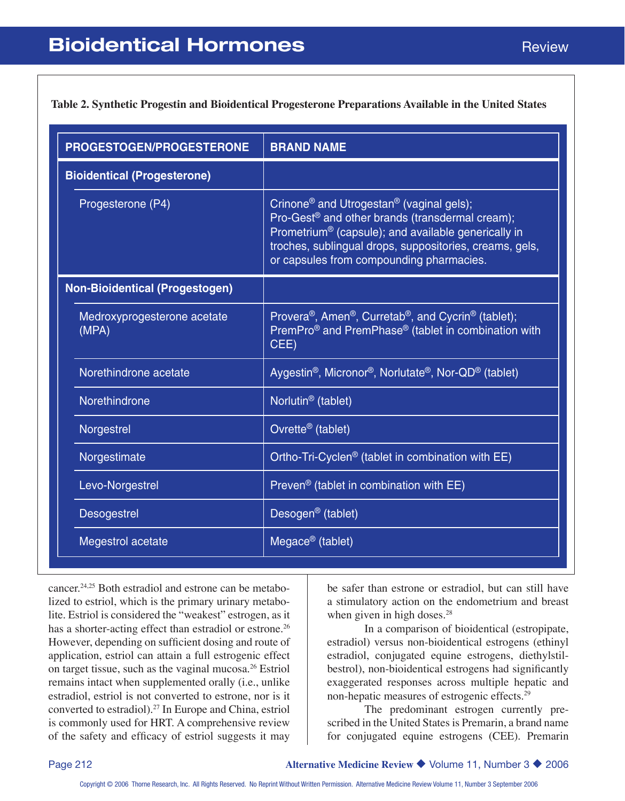**Table 2. Synthetic Progestin and Bioidentical Progesterone Preparations Available in the United States**

| PROGESTOGEN/PROGESTERONE              | <b>BRAND NAME</b>                                                                                                                                                                                                                                                                                         |
|---------------------------------------|-----------------------------------------------------------------------------------------------------------------------------------------------------------------------------------------------------------------------------------------------------------------------------------------------------------|
| <b>Bioidentical (Progesterone)</b>    |                                                                                                                                                                                                                                                                                                           |
| Progesterone (P4)                     | Crinone <sup>®</sup> and Utrogestan <sup>®</sup> (vaginal gels);<br>Pro-Gest <sup>®</sup> and other brands (transdermal cream);<br>Prometrium <sup>®</sup> (capsule); and available generically in<br>troches, sublingual drops, suppositories, creams, gels,<br>or capsules from compounding pharmacies. |
| <b>Non-Bioidentical (Progestogen)</b> |                                                                                                                                                                                                                                                                                                           |
| Medroxyprogesterone acetate<br>(MPA)  | Provera <sup>®</sup> , Amen <sup>®</sup> , Curretab <sup>®</sup> , and Cycrin <sup>®</sup> (tablet);<br>PremPro <sup>®</sup> and PremPhase <sup>®</sup> (tablet in combination with<br>CEE)                                                                                                               |
| Norethindrone acetate                 | Aygestin <sup>®</sup> , Micronor <sup>®</sup> , Norlutate <sup>®</sup> , Nor-QD <sup>®</sup> (tablet)                                                                                                                                                                                                     |
| Norethindrone                         | Norlutin <sup>®</sup> (tablet)                                                                                                                                                                                                                                                                            |
| Norgestrel                            | Ovrette <sup>®</sup> (tablet)                                                                                                                                                                                                                                                                             |
| Norgestimate                          | Ortho-Tri-Cyclen <sup>®</sup> (tablet in combination with EE)                                                                                                                                                                                                                                             |
| Levo-Norgestrel                       | Preven <sup>®</sup> (tablet in combination with $EE$ )                                                                                                                                                                                                                                                    |
| <b>Desogestrel</b>                    | Desogen <sup>®</sup> (tablet)                                                                                                                                                                                                                                                                             |
| Megestrol acetate                     | Megace <sup>®</sup> (tablet)                                                                                                                                                                                                                                                                              |

cancer.24,25 Both estradiol and estrone can be metabolized to estriol, which is the primary urinary metabolite. Estriol is considered the "weakest" estrogen, as it has a shorter-acting effect than estradiol or estrone.<sup>26</sup> However, depending on sufficient dosing and route of application, estriol can attain a full estrogenic effect on target tissue, such as the vaginal mucosa.26 Estriol remains intact when supplemented orally (i.e., unlike estradiol, estriol is not converted to estrone, nor is it converted to estradiol).27 In Europe and China, estriol is commonly used for HRT. A comprehensive review of the safety and efficacy of estriol suggests it may

be safer than estrone or estradiol, but can still have a stimulatory action on the endometrium and breast when given in high doses.<sup>28</sup>

In a comparison of bioidentical (estropipate, estradiol) versus non-bioidentical estrogens (ethinyl estradiol, conjugated equine estrogens, diethylstilbestrol), non-bioidentical estrogens had significantly exaggerated responses across multiple hepatic and non-hepatic measures of estrogenic effects.29

The predominant estrogen currently prescribed in the United States is Premarin, a brand name for conjugated equine estrogens (CEE). Premarin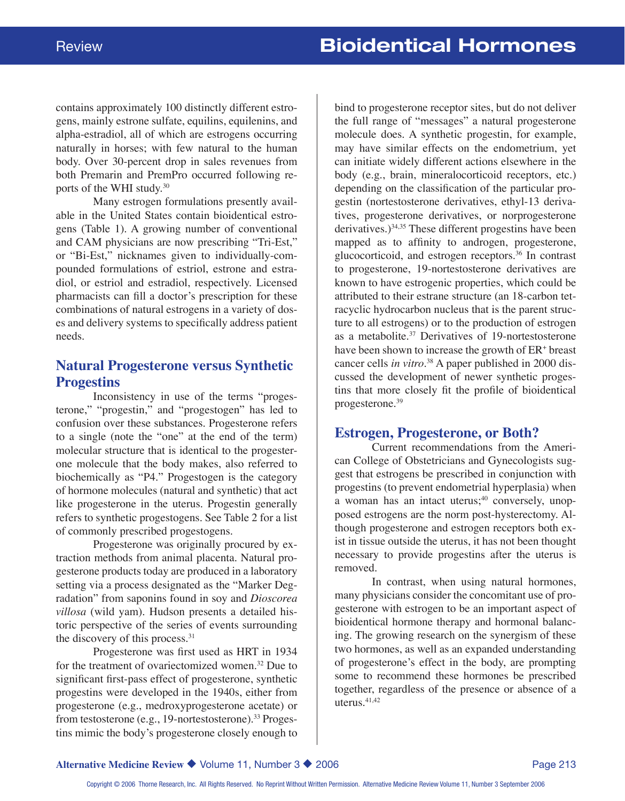contains approximately 100 distinctly different estrogens, mainly estrone sulfate, equilins, equilenins, and alpha-estradiol, all of which are estrogens occurring naturally in horses; with few natural to the human body. Over 30-percent drop in sales revenues from both Premarin and PremPro occurred following reports of the WHI study.30

Many estrogen formulations presently available in the United States contain bioidentical estrogens (Table 1). A growing number of conventional and CAM physicians are now prescribing "Tri-Est," or "Bi-Est," nicknames given to individually-compounded formulations of estriol, estrone and estradiol, or estriol and estradiol, respectively. Licensed pharmacists can fill a doctor's prescription for these combinations of natural estrogens in a variety of doses and delivery systems to specifically address patient needs.

### **Natural Progesterone versus Synthetic Progestins**

Inconsistency in use of the terms "progesterone," "progestin," and "progestogen" has led to confusion over these substances. Progesterone refers to a single (note the "one" at the end of the term) molecular structure that is identical to the progesterone molecule that the body makes, also referred to biochemically as "P4." Progestogen is the category of hormone molecules (natural and synthetic) that act like progesterone in the uterus. Progestin generally refers to synthetic progestogens. See Table 2 for a list of commonly prescribed progestogens.

Progesterone was originally procured by extraction methods from animal placenta. Natural progesterone products today are produced in a laboratory setting via a process designated as the "Marker Degradation" from saponins found in soy and *Dioscorea villosa* (wild yam). Hudson presents a detailed historic perspective of the series of events surrounding the discovery of this process.<sup>31</sup>

Progesterone was first used as HRT in 1934 for the treatment of ovariectomized women.<sup>32</sup> Due to significant first-pass effect of progesterone, synthetic progestins were developed in the 1940s, either from progesterone (e.g., medroxyprogesterone acetate) or from testosterone (e.g., 19-nortestosterone).<sup>33</sup> Progestins mimic the body's progesterone closely enough to

bind to progesterone receptor sites, but do not deliver the full range of "messages" a natural progesterone molecule does. A synthetic progestin, for example, may have similar effects on the endometrium, yet can initiate widely different actions elsewhere in the body (e.g., brain, mineralocorticoid receptors, etc.) depending on the classification of the particular progestin (nortestosterone derivatives, ethyl-13 derivatives, progesterone derivatives, or norprogesterone derivatives.) $34,35$  These different progestins have been mapped as to affinity to androgen, progesterone, glucocorticoid, and estrogen receptors.36 In contrast to progesterone, 19-nortestosterone derivatives are known to have estrogenic properties, which could be attributed to their estrane structure (an 18-carbon tetracyclic hydrocarbon nucleus that is the parent structure to all estrogens) or to the production of estrogen as a metabolite.<sup>37</sup> Derivatives of 19-nortestosterone have been shown to increase the growth of ER<sup>+</sup> breast cancer cells *in vitro*. 38 A paper published in 2000 discussed the development of newer synthetic progestins that more closely fit the profile of bioidentical progesterone.39

#### **Estrogen, Progesterone, or Both?**

Current recommendations from the American College of Obstetricians and Gynecologists suggest that estrogens be prescribed in conjunction with progestins (to prevent endometrial hyperplasia) when a woman has an intact uterus; $40$  conversely, unopposed estrogens are the norm post-hysterectomy. Although progesterone and estrogen receptors both exist in tissue outside the uterus, it has not been thought necessary to provide progestins after the uterus is removed.

In contrast, when using natural hormones, many physicians consider the concomitant use of progesterone with estrogen to be an important aspect of bioidentical hormone therapy and hormonal balancing. The growing research on the synergism of these two hormones, as well as an expanded understanding of progesterone's effect in the body, are prompting some to recommend these hormones be prescribed together, regardless of the presence or absence of a uterus. $41,42$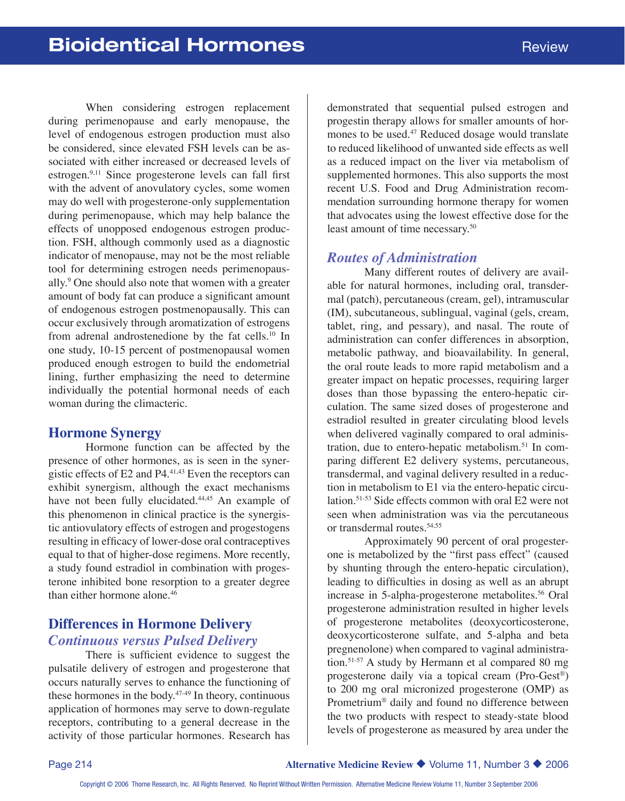When considering estrogen replacement during perimenopause and early menopause, the level of endogenous estrogen production must also be considered, since elevated FSH levels can be associated with either increased or decreased levels of estrogen.9,11 Since progesterone levels can fall first with the advent of anovulatory cycles, some women may do well with progesterone-only supplementation during perimenopause, which may help balance the effects of unopposed endogenous estrogen production. FSH, although commonly used as a diagnostic indicator of menopause, may not be the most reliable tool for determining estrogen needs perimenopausally.9 One should also note that women with a greater amount of body fat can produce a significant amount of endogenous estrogen postmenopausally. This can occur exclusively through aromatization of estrogens from adrenal androstenedione by the fat cells.10 In one study, 10-15 percent of postmenopausal women produced enough estrogen to build the endometrial lining, further emphasizing the need to determine individually the potential hormonal needs of each woman during the climacteric.

#### **Hormone Synergy**

Hormone function can be affected by the presence of other hormones, as is seen in the synergistic effects of E2 and P4.41,43 Even the receptors can exhibit synergism, although the exact mechanisms have not been fully elucidated.<sup>44,45</sup> An example of this phenomenon in clinical practice is the synergistic antiovulatory effects of estrogen and progestogens resulting in efficacy of lower-dose oral contraceptives equal to that of higher-dose regimens. More recently, a study found estradiol in combination with progesterone inhibited bone resorption to a greater degree than either hormone alone.<sup>46</sup>

## **Differences in Hormone Delivery** *Continuous versus Pulsed Delivery*

There is sufficient evidence to suggest the pulsatile delivery of estrogen and progesterone that occurs naturally serves to enhance the functioning of these hormones in the body.<sup>47-49</sup> In theory, continuous application of hormones may serve to down-regulate receptors, contributing to a general decrease in the activity of those particular hormones. Research has

demonstrated that sequential pulsed estrogen and progestin therapy allows for smaller amounts of hormones to be used.<sup>47</sup> Reduced dosage would translate to reduced likelihood of unwanted side effects as well as a reduced impact on the liver via metabolism of supplemented hormones. This also supports the most recent U.S. Food and Drug Administration recommendation surrounding hormone therapy for women that advocates using the lowest effective dose for the least amount of time necessary.<sup>50</sup>

## *Routes of Administration*

Many different routes of delivery are available for natural hormones, including oral, transdermal (patch), percutaneous (cream, gel), intramuscular (IM), subcutaneous, sublingual, vaginal (gels, cream, tablet, ring, and pessary), and nasal. The route of administration can confer differences in absorption, metabolic pathway, and bioavailability. In general, the oral route leads to more rapid metabolism and a greater impact on hepatic processes, requiring larger doses than those bypassing the entero-hepatic circulation. The same sized doses of progesterone and estradiol resulted in greater circulating blood levels when delivered vaginally compared to oral administration, due to entero-hepatic metabolism.<sup>51</sup> In comparing different E2 delivery systems, percutaneous, transdermal, and vaginal delivery resulted in a reduction in metabolism to E1 via the entero-hepatic circulation.51-53 Side effects common with oral E2 were not seen when administration was via the percutaneous or transdermal routes.54,55

Approximately 90 percent of oral progesterone is metabolized by the "first pass effect" (caused by shunting through the entero-hepatic circulation), leading to difficulties in dosing as well as an abrupt increase in 5-alpha-progesterone metabolites.<sup>56</sup> Oral progesterone administration resulted in higher levels of progesterone metabolites (deoxycorticosterone, deoxycorticosterone sulfate, and 5-alpha and beta pregnenolone) when compared to vaginal administration.51-57 A study by Hermann et al compared 80 mg progesterone daily via a topical cream (Pro-Gest®) to 200 mg oral micronized progesterone (OMP) as Prometrium® daily and found no difference between the two products with respect to steady-state blood levels of progesterone as measured by area under the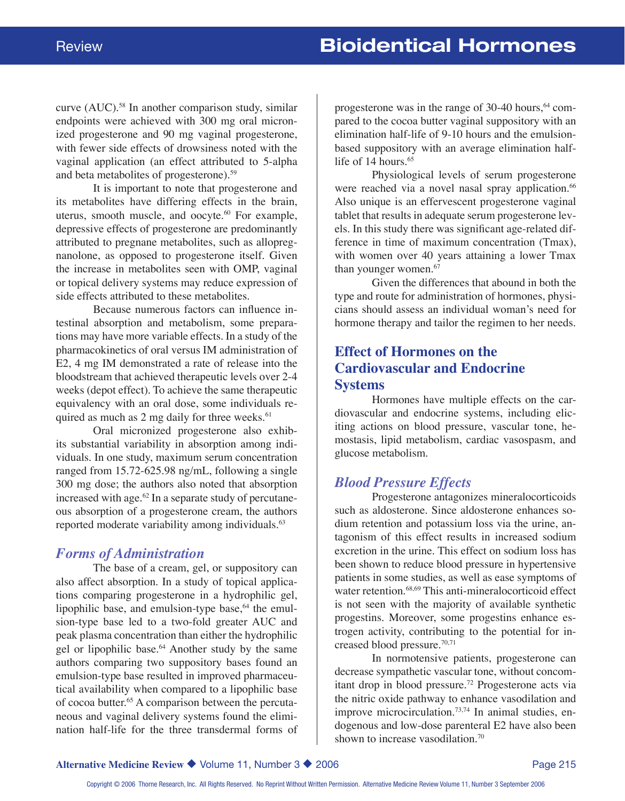curve  $(AUC)$ .<sup>58</sup> In another comparison study, similar endpoints were achieved with 300 mg oral micronized progesterone and 90 mg vaginal progesterone, with fewer side effects of drowsiness noted with the vaginal application (an effect attributed to 5-alpha and beta metabolites of progesterone).59

It is important to note that progesterone and its metabolites have differing effects in the brain, uterus, smooth muscle, and oocyte.<sup>60</sup> For example, depressive effects of progesterone are predominantly attributed to pregnane metabolites, such as allopregnanolone, as opposed to progesterone itself. Given the increase in metabolites seen with OMP, vaginal or topical delivery systems may reduce expression of side effects attributed to these metabolites.

Because numerous factors can influence intestinal absorption and metabolism, some preparations may have more variable effects. In a study of the pharmacokinetics of oral versus IM administration of E2, 4 mg IM demonstrated a rate of release into the bloodstream that achieved therapeutic levels over 2-4 weeks (depot effect). To achieve the same therapeutic equivalency with an oral dose, some individuals required as much as  $2 \text{ mg daily}$  for three weeks.<sup>61</sup>

Oral micronized progesterone also exhibits substantial variability in absorption among individuals. In one study, maximum serum concentration ranged from 15.72-625.98 ng/mL, following a single 300 mg dose; the authors also noted that absorption increased with age. $62$  In a separate study of percutaneous absorption of a progesterone cream, the authors reported moderate variability among individuals.<sup>63</sup>

#### *Forms of Administration*

The base of a cream, gel, or suppository can also affect absorption. In a study of topical applications comparing progesterone in a hydrophilic gel, lipophilic base, and emulsion-type base, $64$  the emulsion-type base led to a two-fold greater AUC and peak plasma concentration than either the hydrophilic gel or lipophilic base.<sup>64</sup> Another study by the same authors comparing two suppository bases found an emulsion-type base resulted in improved pharmaceutical availability when compared to a lipophilic base of cocoa butter.65 A comparison between the percutaneous and vaginal delivery systems found the elimination half-life for the three transdermal forms of

progesterone was in the range of  $30-40$  hours,  $64$  compared to the cocoa butter vaginal suppository with an elimination half-life of 9-10 hours and the emulsionbased suppository with an average elimination halflife of 14 hours.<sup>65</sup>

Physiological levels of serum progesterone were reached via a novel nasal spray application.<sup>66</sup> Also unique is an effervescent progesterone vaginal tablet that results in adequate serum progesterone levels. In this study there was significant age-related difference in time of maximum concentration (Tmax), with women over 40 years attaining a lower Tmax than younger women.<sup>67</sup>

Given the differences that abound in both the type and route for administration of hormones, physicians should assess an individual woman's need for hormone therapy and tailor the regimen to her needs.

# **Effect of Hormones on the Cardiovascular and Endocrine Systems**

Hormones have multiple effects on the cardiovascular and endocrine systems, including eliciting actions on blood pressure, vascular tone, hemostasis, lipid metabolism, cardiac vasospasm, and glucose metabolism.

# *Blood Pressure Effects*

Progesterone antagonizes mineralocorticoids such as aldosterone. Since aldosterone enhances sodium retention and potassium loss via the urine, antagonism of this effect results in increased sodium excretion in the urine. This effect on sodium loss has been shown to reduce blood pressure in hypertensive patients in some studies, as well as ease symptoms of water retention.<sup>68,69</sup> This anti-mineralocorticoid effect is not seen with the majority of available synthetic progestins. Moreover, some progestins enhance estrogen activity, contributing to the potential for increased blood pressure.70,71

In normotensive patients, progesterone can decrease sympathetic vascular tone, without concomitant drop in blood pressure.72 Progesterone acts via the nitric oxide pathway to enhance vasodilation and improve microcirculation.<sup>73,74</sup> In animal studies, endogenous and low-dose parenteral E2 have also been shown to increase vasodilation.<sup>70</sup>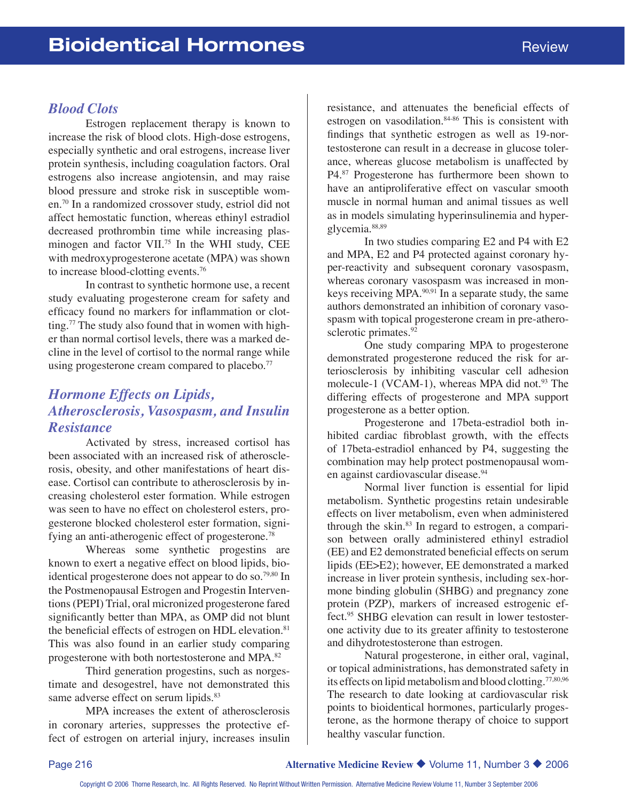#### *Blood Clots*

Estrogen replacement therapy is known to increase the risk of blood clots. High-dose estrogens, especially synthetic and oral estrogens, increase liver protein synthesis, including coagulation factors. Oral estrogens also increase angiotensin, and may raise blood pressure and stroke risk in susceptible women.70 In a randomized crossover study, estriol did not affect hemostatic function, whereas ethinyl estradiol decreased prothrombin time while increasing plasminogen and factor VII.75 In the WHI study, CEE with medroxyprogesterone acetate (MPA) was shown to increase blood-clotting events.76

In contrast to synthetic hormone use, a recent study evaluating progesterone cream for safety and efficacy found no markers for inflammation or clotting.<sup>77</sup> The study also found that in women with higher than normal cortisol levels, there was a marked decline in the level of cortisol to the normal range while using progesterone cream compared to placebo.<sup>77</sup>

# *Hormone Effects on Lipids, Atherosclerosis, Vasospasm, and Insulin Resistance*

Activated by stress, increased cortisol has been associated with an increased risk of atherosclerosis, obesity, and other manifestations of heart disease. Cortisol can contribute to atherosclerosis by increasing cholesterol ester formation. While estrogen was seen to have no effect on cholesterol esters, progesterone blocked cholesterol ester formation, signifying an anti-atherogenic effect of progesterone.<sup>78</sup>

Whereas some synthetic progestins are known to exert a negative effect on blood lipids, bioidentical progesterone does not appear to do so.<sup>79,80</sup> In the Postmenopausal Estrogen and Progestin Interventions (PEPI) Trial, oral micronized progesterone fared significantly better than MPA, as OMP did not blunt the beneficial effects of estrogen on HDL elevation.<sup>81</sup> This was also found in an earlier study comparing progesterone with both nortestosterone and MPA.82

Third generation progestins, such as norgestimate and desogestrel, have not demonstrated this same adverse effect on serum lipids.<sup>83</sup>

MPA increases the extent of atherosclerosis in coronary arteries, suppresses the protective effect of estrogen on arterial injury, increases insulin resistance, and attenuates the beneficial effects of estrogen on vasodilation.<sup>84-86</sup> This is consistent with findings that synthetic estrogen as well as 19-nortestosterone can result in a decrease in glucose tolerance, whereas glucose metabolism is unaffected by P4.87 Progesterone has furthermore been shown to have an antiproliferative effect on vascular smooth muscle in normal human and animal tissues as well as in models simulating hyperinsulinemia and hyperglycemia.88,89

In two studies comparing E2 and P4 with E2 and MPA, E2 and P4 protected against coronary hyper-reactivity and subsequent coronary vasospasm, whereas coronary vasospasm was increased in monkeys receiving MPA. $90,91$  In a separate study, the same authors demonstrated an inhibition of coronary vasospasm with topical progesterone cream in pre-atherosclerotic primates.<sup>92</sup>

One study comparing MPA to progesterone demonstrated progesterone reduced the risk for arteriosclerosis by inhibiting vascular cell adhesion molecule-1 (VCAM-1), whereas MPA did not.<sup>93</sup> The differing effects of progesterone and MPA support progesterone as a better option.

Progesterone and 17beta-estradiol both inhibited cardiac fibroblast growth, with the effects of 17beta-estradiol enhanced by P4, suggesting the combination may help protect postmenopausal women against cardiovascular disease.<sup>94</sup>

Normal liver function is essential for lipid metabolism. Synthetic progestins retain undesirable effects on liver metabolism, even when administered through the skin. $83$  In regard to estrogen, a comparison between orally administered ethinyl estradiol (EE) and E2 demonstrated beneficial effects on serum lipids (EE>E2); however, EE demonstrated a marked increase in liver protein synthesis, including sex-hormone binding globulin (SHBG) and pregnancy zone protein (PZP), markers of increased estrogenic effect.95 SHBG elevation can result in lower testosterone activity due to its greater affinity to testosterone and dihydrotestosterone than estrogen.

Natural progesterone, in either oral, vaginal, or topical administrations, has demonstrated safety in its effects on lipid metabolism and blood clotting.77,80,96 The research to date looking at cardiovascular risk points to bioidentical hormones, particularly progesterone, as the hormone therapy of choice to support healthy vascular function.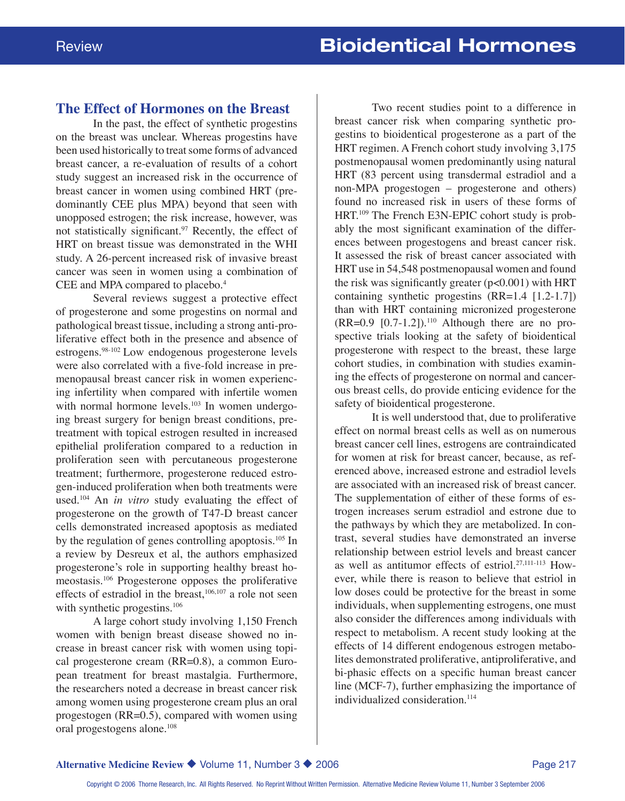#### **The Effect of Hormones on the Breast**

In the past, the effect of synthetic progestins on the breast was unclear. Whereas progestins have been used historically to treat some forms of advanced breast cancer, a re-evaluation of results of a cohort study suggest an increased risk in the occurrence of breast cancer in women using combined HRT (predominantly CEE plus MPA) beyond that seen with unopposed estrogen; the risk increase, however, was not statistically significant.<sup>97</sup> Recently, the effect of HRT on breast tissue was demonstrated in the WHI study. A 26-percent increased risk of invasive breast cancer was seen in women using a combination of CEE and MPA compared to placebo.<sup>4</sup>

Several reviews suggest a protective effect of progesterone and some progestins on normal and pathological breast tissue, including a strong anti-proliferative effect both in the presence and absence of estrogens.98-102 Low endogenous progesterone levels were also correlated with a five-fold increase in premenopausal breast cancer risk in women experiencing infertility when compared with infertile women with normal hormone levels.<sup>103</sup> In women undergoing breast surgery for benign breast conditions, pretreatment with topical estrogen resulted in increased epithelial proliferation compared to a reduction in proliferation seen with percutaneous progesterone treatment; furthermore, progesterone reduced estrogen-induced proliferation when both treatments were used.104 An *in vitro* study evaluating the effect of progesterone on the growth of T47-D breast cancer cells demonstrated increased apoptosis as mediated by the regulation of genes controlling apoptosis.105 In a review by Desreux et al, the authors emphasized progesterone's role in supporting healthy breast homeostasis.106 Progesterone opposes the proliferative effects of estradiol in the breast, $106,107$  a role not seen with synthetic progestins.<sup>106</sup>

A large cohort study involving 1,150 French women with benign breast disease showed no increase in breast cancer risk with women using topical progesterone cream (RR=0.8), a common European treatment for breast mastalgia. Furthermore, the researchers noted a decrease in breast cancer risk among women using progesterone cream plus an oral progestogen (RR=0.5), compared with women using oral progestogens alone.<sup>108</sup>

Two recent studies point to a difference in breast cancer risk when comparing synthetic progestins to bioidentical progesterone as a part of the HRT regimen. A French cohort study involving 3,175 postmenopausal women predominantly using natural HRT (83 percent using transdermal estradiol and a non-MPA progestogen – progesterone and others) found no increased risk in users of these forms of HRT.109 The French E3N-EPIC cohort study is probably the most significant examination of the differences between progestogens and breast cancer risk. It assessed the risk of breast cancer associated with HRT use in 54,548 postmenopausal women and found the risk was significantly greater  $(p<0.001)$  with HRT containing synthetic progestins (RR=1.4 [1.2-1.7]) than with HRT containing micronized progesterone  $(RR=0.9$  [0.7-1.2]).<sup>110</sup> Although there are no prospective trials looking at the safety of bioidentical progesterone with respect to the breast, these large cohort studies, in combination with studies examining the effects of progesterone on normal and cancerous breast cells, do provide enticing evidence for the safety of bioidentical progesterone.

It is well understood that, due to proliferative effect on normal breast cells as well as on numerous breast cancer cell lines, estrogens are contraindicated for women at risk for breast cancer, because, as referenced above, increased estrone and estradiol levels are associated with an increased risk of breast cancer. The supplementation of either of these forms of estrogen increases serum estradiol and estrone due to the pathways by which they are metabolized. In contrast, several studies have demonstrated an inverse relationship between estriol levels and breast cancer as well as antitumor effects of estriol.<sup>27,111-113</sup> However, while there is reason to believe that estriol in low doses could be protective for the breast in some individuals, when supplementing estrogens, one must also consider the differences among individuals with respect to metabolism. A recent study looking at the effects of 14 different endogenous estrogen metabolites demonstrated proliferative, antiproliferative, and bi-phasic effects on a specific human breast cancer line (MCF-7), further emphasizing the importance of individualized consideration.<sup>114</sup>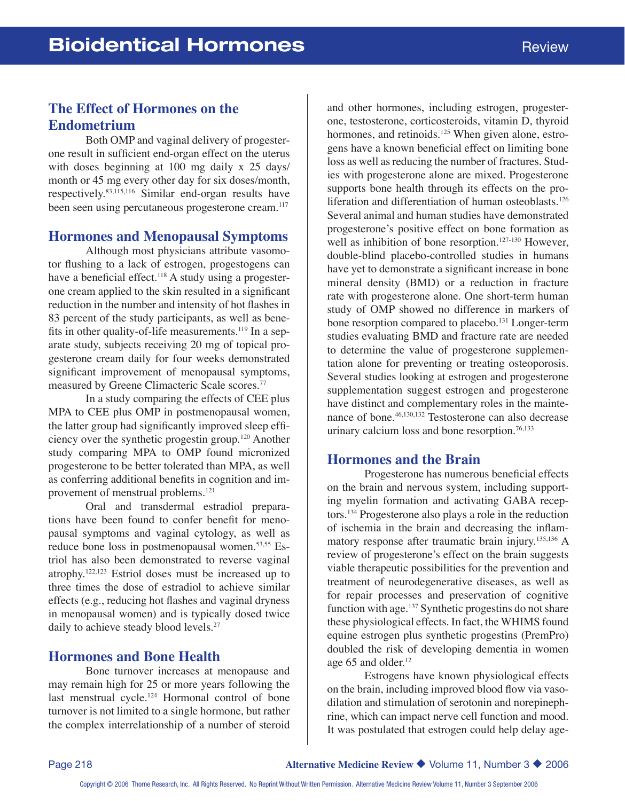# **The Effect of Hormones on the Endometrium**

Both OMP and vaginal delivery of progesterone result in sufficient end-organ effect on the uterus with doses beginning at 100 mg daily x 25 days/ month or 45 mg every other day for six doses/month, respectively.83,115,116 Similar end-organ results have been seen using percutaneous progesterone cream.<sup>117</sup>

#### **Hormones and Menopausal Symptoms**

Although most physicians attribute vasomotor flushing to a lack of estrogen, progestogens can have a beneficial effect.<sup>118</sup> A study using a progesterone cream applied to the skin resulted in a significant reduction in the number and intensity of hot flashes in 83 percent of the study participants, as well as benefits in other quality-of-life measurements.<sup>119</sup> In a separate study, subjects receiving 20 mg of topical progesterone cream daily for four weeks demonstrated significant improvement of menopausal symptoms, measured by Greene Climacteric Scale scores.77

In a study comparing the effects of CEE plus MPA to CEE plus OMP in postmenopausal women, the latter group had significantly improved sleep efficiency over the synthetic progestin group.120 Another study comparing MPA to OMP found micronized progesterone to be better tolerated than MPA, as well as conferring additional benefits in cognition and improvement of menstrual problems.<sup>121</sup>

Oral and transdermal estradiol preparations have been found to confer benefit for menopausal symptoms and vaginal cytology, as well as reduce bone loss in postmenopausal women.53,55 Estriol has also been demonstrated to reverse vaginal atrophy.122,123 Estriol doses must be increased up to three times the dose of estradiol to achieve similar effects (e.g., reducing hot flashes and vaginal dryness in menopausal women) and is typically dosed twice daily to achieve steady blood levels.<sup>27</sup>

#### **Hormones and Bone Health**

Bone turnover increases at menopause and may remain high for 25 or more years following the last menstrual cycle.<sup>124</sup> Hormonal control of bone turnover is not limited to a single hormone, but rather the complex interrelationship of a number of steroid and other hormones, including estrogen, progesterone, testosterone, corticosteroids, vitamin D, thyroid hormones, and retinoids.<sup>125</sup> When given alone, estrogens have a known beneficial effect on limiting bone loss as well as reducing the number of fractures. Studies with progesterone alone are mixed. Progesterone supports bone health through its effects on the proliferation and differentiation of human osteoblasts.<sup>126</sup> Several animal and human studies have demonstrated progesterone's positive effect on bone formation as well as inhibition of bone resorption.<sup>127-130</sup> However, double-blind placebo-controlled studies in humans have yet to demonstrate a significant increase in bone mineral density (BMD) or a reduction in fracture rate with progesterone alone. One short-term human study of OMP showed no difference in markers of bone resorption compared to placebo.<sup>131</sup> Longer-term studies evaluating BMD and fracture rate are needed to determine the value of progesterone supplementation alone for preventing or treating osteoporosis. Several studies looking at estrogen and progesterone supplementation suggest estrogen and progesterone have distinct and complementary roles in the maintenance of bone.46,130,132 Testosterone can also decrease urinary calcium loss and bone resorption.<sup>76,133</sup>

#### **Hormones and the Brain**

Progesterone has numerous beneficial effects on the brain and nervous system, including supporting myelin formation and activating GABA receptors.134 Progesterone also plays a role in the reduction of ischemia in the brain and decreasing the inflammatory response after traumatic brain injury.135,136 A review of progesterone's effect on the brain suggests viable therapeutic possibilities for the prevention and treatment of neurodegenerative diseases, as well as for repair processes and preservation of cognitive function with age.<sup>137</sup> Synthetic progestins do not share these physiological effects. In fact, the WHIMS found equine estrogen plus synthetic progestins (PremPro) doubled the risk of developing dementia in women age 65 and older.<sup>12</sup>

Estrogens have known physiological effects on the brain, including improved blood flow via vasodilation and stimulation of serotonin and norepinephrine, which can impact nerve cell function and mood. It was postulated that estrogen could help delay age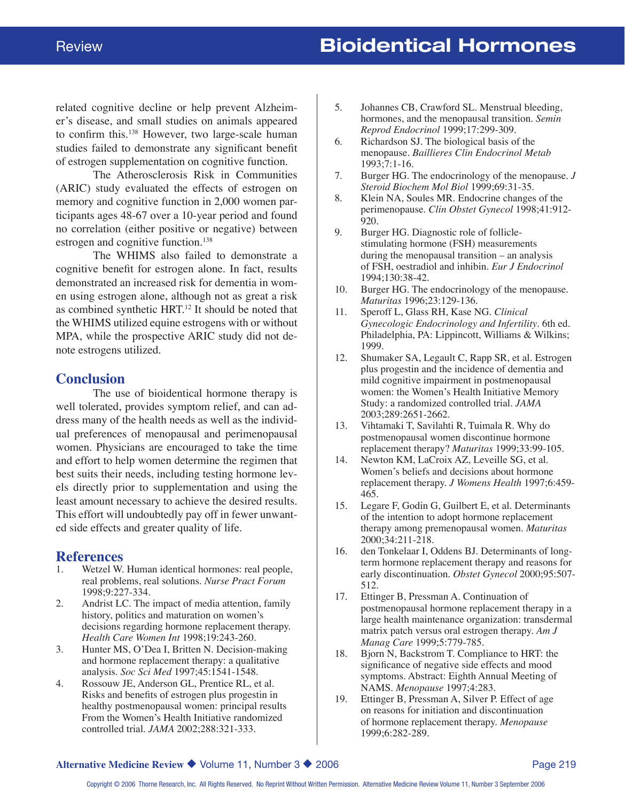related cognitive decline or help prevent Alzheimer's disease, and small studies on animals appeared to confirm this.138 However, two large-scale human studies failed to demonstrate any significant benefit of estrogen supplementation on cognitive function.

The Atherosclerosis Risk in Communities (ARIC) study evaluated the effects of estrogen on memory and cognitive function in 2,000 women participants ages 48-67 over a 10-year period and found no correlation (either positive or negative) between estrogen and cognitive function.<sup>138</sup>

The WHIMS also failed to demonstrate a cognitive benefit for estrogen alone. In fact, results demonstrated an increased risk for dementia in women using estrogen alone, although not as great a risk as combined synthetic HRT.12 It should be noted that the WHIMS utilized equine estrogens with or without MPA, while the prospective ARIC study did not denote estrogens utilized.

#### **Conclusion**

The use of bioidentical hormone therapy is well tolerated, provides symptom relief, and can address many of the health needs as well as the individual preferences of menopausal and perimenopausal women. Physicians are encouraged to take the time and effort to help women determine the regimen that best suits their needs, including testing hormone levels directly prior to supplementation and using the least amount necessary to achieve the desired results. This effort will undoubtedly pay off in fewer unwanted side effects and greater quality of life.

# **References**<br>1. Wetzel W.

- Wetzel W. Human identical hormones: real people, real problems, real solutions. *Nurse Pract Forum* 1998;9:227-334.
- 2. Andrist LC. The impact of media attention, family history, politics and maturation on women's decisions regarding hormone replacement therapy. *Health Care Women Int* 1998;19:243-260.
- 3. Hunter MS, O'Dea I, Britten N. Decision-making and hormone replacement therapy: a qualitative analysis. *Soc Sci Med* 1997;45:1541-1548.
- 4. Rossouw JE, Anderson GL, Prentice RL, et al. Risks and benefits of estrogen plus progestin in healthy postmenopausal women: principal results From the Women's Health Initiative randomized controlled trial. *JAMA* 2002;288:321-333.
- 5. Johannes CB, Crawford SL. Menstrual bleeding, hormones, and the menopausal transition. *Semin Reprod Endocrinol* 1999;17:299-309.
- 6. Richardson SJ. The biological basis of the menopause. *Baillieres Clin Endocrinol Metab* 1993;7:1-16.
- 7. Burger HG. The endocrinology of the menopause. *J Steroid Biochem Mol Biol* 1999;69:31-35.
- 8. Klein NA, Soules MR. Endocrine changes of the perimenopause. *Clin Obstet Gynecol* 1998;41:912- 920.
- 9. Burger HG. Diagnostic role of folliclestimulating hormone (FSH) measurements during the menopausal transition – an analysis of FSH, oestradiol and inhibin. *Eur J Endocrinol* 1994;130:38-42.
- 10. Burger HG. The endocrinology of the menopause. *Maturitas* 1996;23:129-136.
- 11. Speroff L, Glass RH, Kase NG. *Clinical Gynecologic Endocrinology and Infertility*. 6th ed. Philadelphia, PA: Lippincott, Williams & Wilkins; 1999.
- 12. Shumaker SA, Legault C, Rapp SR, et al. Estrogen plus progestin and the incidence of dementia and mild cognitive impairment in postmenopausal women: the Women's Health Initiative Memory Study: a randomized controlled trial. *JAMA* 2003;289:2651-2662.
- 13. Vihtamaki T, Savilahti R, Tuimala R. Why do postmenopausal women discontinue hormone replacement therapy? *Maturitas* 1999;33:99-105.
- 14. Newton KM, LaCroix AZ, Leveille SG, et al. Women's beliefs and decisions about hormone replacement therapy. *J Womens Health* 1997;6:459- 465.
- 15. Legare F, Godin G, Guilbert E, et al. Determinants of the intention to adopt hormone replacement therapy among premenopausal women. *Maturitas* 2000;34:211-218.
- 16. den Tonkelaar I, Oddens BJ. Determinants of longterm hormone replacement therapy and reasons for early discontinuation. *Obstet Gynecol* 2000;95:507- 512.
- 17. Ettinger B, Pressman A. Continuation of postmenopausal hormone replacement therapy in a large health maintenance organization: transdermal matrix patch versus oral estrogen therapy. *Am J Manag Care* 1999;5:779-785.
- 18. Bjorn N, Backstrom T. Compliance to HRT: the significance of negative side effects and mood symptoms. Abstract: Eighth Annual Meeting of NAMS. *Menopause* 1997;4:283.
- 19. Ettinger B, Pressman A, Silver P. Effect of age on reasons for initiation and discontinuation of hormone replacement therapy. *Menopause* 1999;6:282-289.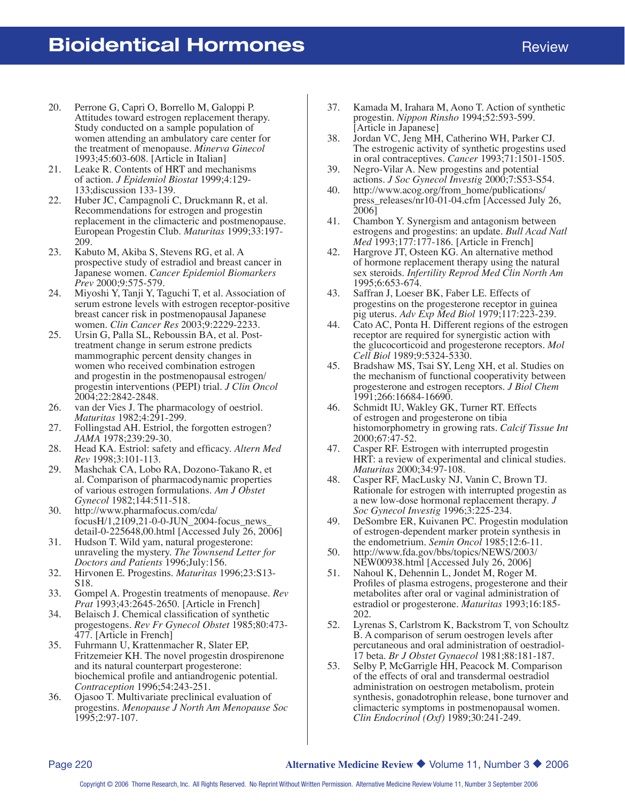- 20. Perrone G, Capri O, Borrello M, Galoppi P. Attitudes toward estrogen replacement therapy. Study conducted on a sample population of women attending an ambulatory care center for the treatment of menopause. *Minerva Ginecol* 1993;45:603-608. [Article in Italian]
- 21. Leake R. Contents of HRT and mechanisms of action. *J Epidemiol Biostat* 1999;4:129- 133;discussion 133-139.
- 22. Huber JC, Campagnoli C, Druckmann R, et al. Recommendations for estrogen and progestin replacement in the climacteric and postmenopause. European Progestin Club. *Maturitas* 1999;33:197- 209.
- 23. Kabuto M, Akiba S, Stevens RG, et al. A prospective study of estradiol and breast cancer in Japanese women. *Cancer Epidemiol Biomarkers Prev* 2000;9:575-579.
- 24. Miyoshi Y, Tanji Y, Taguchi T, et al. Association of serum estrone levels with estrogen receptor-positive breast cancer risk in postmenopausal Japanese women. *Clin Cancer Res* 2003;9:2229-2233.
- 25. Ursin G, Palla SL, Reboussin BA, et al. Posttreatment change in serum estrone predicts mammographic percent density changes in women who received combination estrogen and progestin in the postmenopausal estrogen/ progestin interventions (PEPI) trial. *J Clin Oncol* 2004;22:2842-2848.
- 26. van der Vies J. The pharmacology of oestriol. *Maturitas* 1982;4:291-299.
- 27. Follingstad AH. Estriol, the forgotten estrogen? *JAMA* 1978;239:29-30.
- 28. Head KA. Estriol: safety and efficacy. *Altern Med Rev* 1998;3:101-113.
- 29. Mashchak CA, Lobo RA, Dozono-Takano R, et al. Comparison of pharmacodynamic properties of various estrogen formulations. *Am J Obstet Gynecol* 1982;144:511-518.
- 30. http://www.pharmafocus.com/cda/ focusH/1,2109,21-0-0-JUN\_2004-focus\_news\_ detail-0-225648,00.html [Accessed July 26, 2006]
- 31. Hudson T. Wild yam, natural progesterone: unraveling the mystery. *The Townsend Letter for Doctors and Patients* 1996;July:156.
- 32. Hirvonen E. Progestins. *Maturitas* 1996;23:S13- S18.
- 33. Gompel A. Progestin treatments of menopause. *Rev Prat* 1993;43:2645-2650. [Article in French]
- 34. Belaisch J. Chemical classification of synthetic progestogens. *Rev Fr Gynecol Obstet* 1985;80:473- 477. [Article in French]
- 35. Fuhrmann U, Krattenmacher R, Slater EP, Fritzemeier KH. The novel progestin drospirenone and its natural counterpart progesterone: biochemical profile and antiandrogenic potential. *Contraception* 1996;54:243-251.
- 36. Ojasoo T. Multivariate preclinical evaluation of progestins. *Menopause J North Am Menopause Soc* 1995;2:97-107.
- 37. Kamada M, Irahara M, Aono T. Action of synthetic progestin. *Nippon Rinsho* 1994;52:593-599. [Article in Japanese]
- 38. Jordan VC, Jeng MH, Catherino WH, Parker CJ. The estrogenic activity of synthetic progestins used in oral contraceptives. *Cancer* 1993;71:1501-1505.
- 39. Negro-Vilar A. New progestins and potential actions. *J Soc Gynecol Investig* 2000;7:S53-S54.
- 40. http://www.acog.org/from\_home/publications/ press\_releases/nr10-01-04.cfm [Accessed July 26, 2006]
- 41. Chambon Y. Synergism and antagonism between estrogens and progestins: an update. *Bull Acad Natl Med* 1993;177:177-186. [Article in French]
- 42. Hargrove JT, Osteen KG. An alternative method of hormone replacement therapy using the natural sex steroids. *Infertility Reprod Med Clin North Am* 1995;6:653-674.
- 43. Saffran J, Loeser BK, Faber LE. Effects of progestins on the progesterone receptor in guinea pig uterus. *Adv Exp Med Biol* 1979;117:223-239.
- 44. Cato AC, Ponta H. Different regions of the estrogen receptor are required for synergistic action with the glucocorticoid and progesterone receptors. *Mol Cell Biol* 1989;9:5324-5330.
- 45. Bradshaw MS, Tsai SY, Leng XH, et al. Studies on the mechanism of functional cooperativity between progesterone and estrogen receptors. *J Biol Chem* 1991;266:16684-16690.
- 46. Schmidt IU, Wakley GK, Turner RT. Effects of estrogen and progesterone on tibia histomorphometry in growing rats. *Calcif Tissue Int* 2000;67:47-52.
- 47. Casper RF. Estrogen with interrupted progestin HRT: a review of experimental and clinical studies. *Maturitas* 2000;34:97-108.
- 48. Casper RF, MacLusky NJ, Vanin C, Brown TJ. Rationale for estrogen with interrupted progestin as a new low-dose hormonal replacement therapy. *J Soc Gynecol Investig* 1996;3:225-234.
- 49. DeSombre ER, Kuivanen PC. Progestin modulation of estrogen-dependent marker protein synthesis in the endometrium. *Semin Oncol* 1985;12:6-11.
- 50. http://www.fda.gov/bbs/topics/NEWS/2003/ NEW00938.html [Accessed July 26, 2006]
- 51. Nahoul K, Dehennin L, Jondet M, Roger M. Profiles of plasma estrogens, progesterone and their metabolites after oral or vaginal administration of estradiol or progesterone. *Maturitas* 1993;16:185- 202.
- 52. Lyrenas S, Carlstrom K, Backstrom T, von Schoultz B. A comparison of serum oestrogen levels after percutaneous and oral administration of oestradiol-17 beta. *Br J Obstet Gynaecol* 1981;88:181-187.
- 53. Selby P, McGarrigle HH, Peacock M. Comparison of the effects of oral and transdermal oestradiol administration on oestrogen metabolism, protein synthesis, gonadotrophin release, bone turnover and climacteric symptoms in postmenopausal women. *Clin Endocrinol (Oxf)* 1989;30:241-249.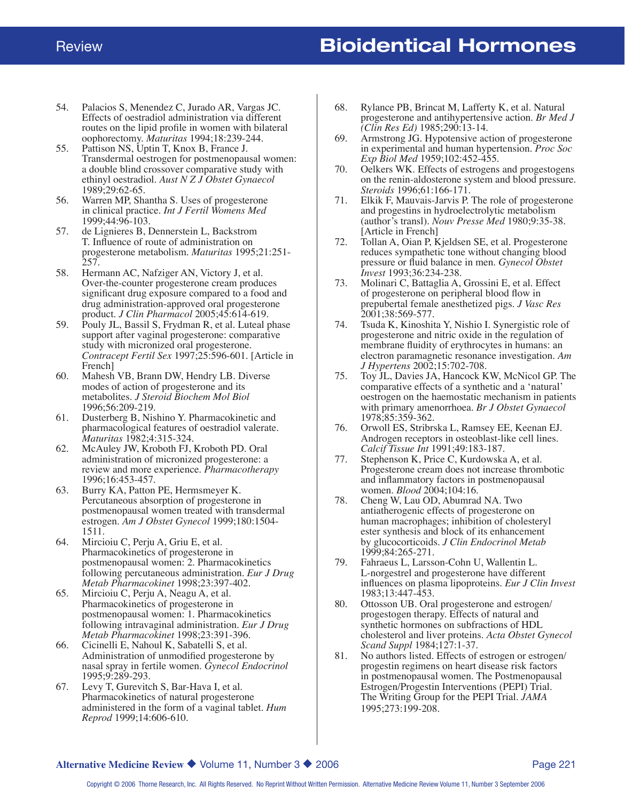- 54. Palacios S, Menendez C, Jurado AR, Vargas JC. Effects of oestradiol administration via different routes on the lipid profile in women with bilateral oophorectomy. *Maturitas* 1994;18:239-244.
- 55. Pattison NS, Uptin T, Knox B, France J. Transdermal oestrogen for postmenopausal women: a double blind crossover comparative study with ethinyl oestradiol. *Aust N Z J Obstet Gynaecol* 1989;29:62-65.
- 56. Warren MP, Shantha S. Uses of progesterone in clinical practice. *Int J Fertil Womens Med* 1999;44:96-103.
- 57. de Lignieres B, Dennerstein L, Backstrom T. Influence of route of administration on progesterone metabolism. *Maturitas* 1995;21:251-  $257.$
- 58. Hermann AC, Nafziger AN, Victory J, et al. Over-the-counter progesterone cream produces significant drug exposure compared to a food and drug administration-approved oral progesterone product. *J Clin Pharmacol* 2005;45:614-619.
- 59. Pouly JL, Bassil S, Frydman R, et al. Luteal phase support after vaginal progesterone: comparative study with micronized oral progesterone. *Contracept Fertil Sex* 1997;25:596-601. [Article in French]
- 60. Mahesh VB, Brann DW, Hendry LB. Diverse modes of action of progesterone and its metabolites. *J Steroid Biochem Mol Biol* 1996;56:209-219.
- 61. Dusterberg B, Nishino Y. Pharmacokinetic and pharmacological features of oestradiol valerate. *Maturitas* 1982;4:315-324.
- 62. McAuley JW, Kroboth FJ, Kroboth PD. Oral administration of micronized progesterone: a review and more experience. *Pharmacotherapy* 1996;16:453-457.
- 63. Burry KA, Patton PE, Hermsmeyer K. Percutaneous absorption of progesterone in postmenopausal women treated with transdermal estrogen. *Am J Obstet Gynecol* 1999;180:1504- 1511.
- 64. Mircioiu C, Perju A, Griu E, et al. Pharmacokinetics of progesterone in postmenopausal women: 2. Pharmacokinetics following percutaneous administration. *Eur J Drug Metab Pharmacokinet* 1998;23:397-402.
- 65. Mircioiu C, Perju A, Neagu A, et al. Pharmacokinetics of progesterone in postmenopausal women: 1. Pharmacokinetics following intravaginal administration. *Eur J Drug Metab Pharmacokinet* 1998;23:391-396.
- 66. Cicinelli E, Nahoul K, Sabatelli S, et al. Administration of unmodified progesterone by nasal spray in fertile women. *Gynecol Endocrinol* 1995;9:289-293.
- 67. Levy T, Gurevitch S, Bar-Hava I, et al. Pharmacokinetics of natural progesterone administered in the form of a vaginal tablet. *Hum Reprod* 1999;14:606-610.
- 68. Rylance PB, Brincat M, Lafferty K, et al. Natural progesterone and antihypertensive action. *Br Med J (Clin Res Ed)* 1985;290:13-14.
- 69. Armstrong JG. Hypotensive action of progesterone in experimental and human hypertension. *Proc Soc Exp Biol Med* 1959;102:452-455.
- 70. Oelkers WK. Effects of estrogens and progestogens on the renin-aldosterone system and blood pressure. *Steroids* 1996;61:166-171.
- 71. Elkik F, Mauvais-Jarvis P. The role of progesterone and progestins in hydroelectrolytic metabolism (author's transl). *Nouv Presse Med* 1980;9:35-38. [Article in French]
- 72. Tollan A, Oian P, Kjeldsen SE, et al. Progesterone reduces sympathetic tone without changing blood pressure or fluid balance in men. *Gynecol Obstet Invest* 1993;36:234-238.
- 73. Molinari C, Battaglia A, Grossini E, et al. Effect of progesterone on peripheral blood flow in prepubertal female anesthetized pigs. *J Vasc Res* 2001;38:569-577.
- 74. Tsuda K, Kinoshita Y, Nishio I. Synergistic role of progesterone and nitric oxide in the regulation of membrane fluidity of erythrocytes in humans: an electron paramagnetic resonance investigation. *Am J Hypertens* 2002;15:702-708.
- 75. Toy JL, Davies JA, Hancock KW, McNicol GP. The comparative effects of a synthetic and a 'natural' oestrogen on the haemostatic mechanism in patients with primary amenorrhoea. *Br J Obstet Gynaecol* 1978;85:359-362.
- 76. Orwoll ES, Stribrska L, Ramsey EE, Keenan EJ. Androgen receptors in osteoblast-like cell lines. *Calcif Tissue Int* 1991;49:183-187.
- 77. Stephenson K, Price C, Kurdowska A, et al. Progesterone cream does not increase thrombotic and inflammatory factors in postmenopausal women. *Blood* 2004;104:16.
- 78. Cheng W, Lau OD, Abumrad NA. Two antiatherogenic effects of progesterone on human macrophages; inhibition of cholesteryl ester synthesis and block of its enhancement by glucocorticoids. *J Clin Endocrinol Metab* 1999;84:265-271.
- 79. Fahraeus L, Larsson-Cohn U, Wallentin L. L-norgestrel and progesterone have different influences on plasma lipoproteins. *Eur J Clin Invest* 1983;13:447-453.
- 80. Ottosson UB. Oral progesterone and estrogen/ progestogen therapy. Effects of natural and synthetic hormones on subfractions of HDL cholesterol and liver proteins. *Acta Obstet Gynecol Scand Suppl* 1984;127:1-37.
- 81. No authors listed. Effects of estrogen or estrogen/ progestin regimens on heart disease risk factors in postmenopausal women. The Postmenopausal Estrogen/Progestin Interventions (PEPI) Trial. The Writing Group for the PEPI Trial. *JAMA* 1995;273:199-208.

#### **Alternative Medicine Review ◆ Volume 11, Number 3 ◆ 2006 Page 221 Page 221**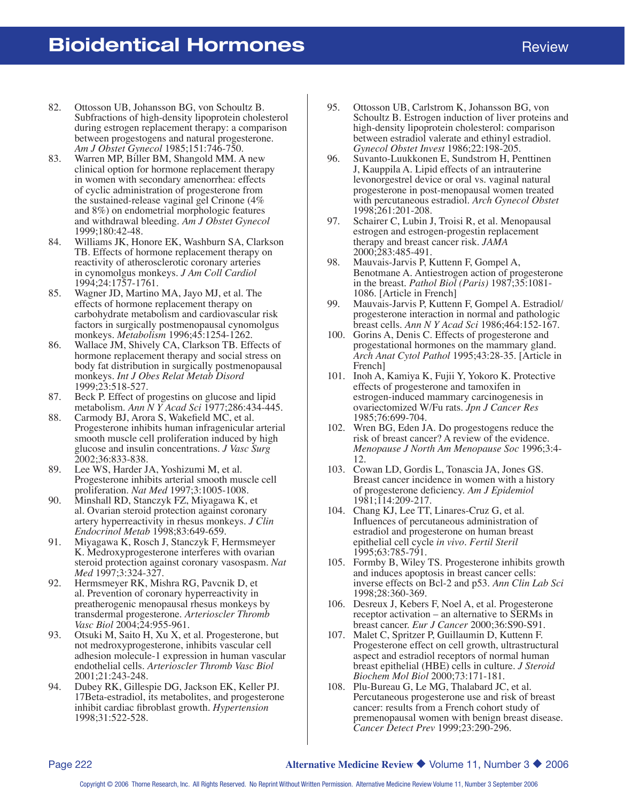- 82. Ottosson UB, Johansson BG, von Schoultz B. Subfractions of high-density lipoprotein cholesterol during estrogen replacement therapy: a comparison between progestogens and natural progesterone. *Am J Obstet Gynecol* 1985;151:746-750.
- 83. Warren MP, Biller BM, Shangold MM. A new clinical option for hormone replacement therapy in women with secondary amenorrhea: effects of cyclic administration of progesterone from the sustained-release vaginal gel Crinone (4% and 8%) on endometrial morphologic features and withdrawal bleeding. *Am J Obstet Gynecol* 1999;180:42-48.
- 84. Williams JK, Honore EK, Washburn SA, Clarkson TB. Effects of hormone replacement therapy on reactivity of atherosclerotic coronary arteries in cynomolgus monkeys. *J Am Coll Cardiol* 1994;24:1757-1761.
- 85. Wagner JD, Martino MA, Jayo MJ, et al. The effects of hormone replacement therapy on carbohydrate metabolism and cardiovascular risk factors in surgically postmenopausal cynomolgus monkeys. *Metabolism* 1996;45:1254-1262.
- 86. Wallace JM, Shively CA, Clarkson TB. Effects of hormone replacement therapy and social stress on body fat distribution in surgically postmenopausal monkeys. *Int J Obes Relat Metab Disord* 1999;23:518-527.
- 87. Beck P. Effect of progestins on glucose and lipid metabolism. *Ann N Y Acad Sci* 1977;286:434-445.
- 88. Carmody BJ, Arora S, Wakefield MC, et al. Progesterone inhibits human infragenicular arterial smooth muscle cell proliferation induced by high glucose and insulin concentrations. *J Vasc Surg* 2002;36:833-838.
- 89. Lee WS, Harder JA, Yoshizumi M, et al. Progesterone inhibits arterial smooth muscle cell proliferation. *Nat Med* 1997;3:1005-1008.
- 90. Minshall RD, Stanczyk FZ, Miyagawa K, et al. Ovarian steroid protection against coronary artery hyperreactivity in rhesus monkeys. *J Clin Endocrinol Metab* 1998;83:649-659.
- 91. Miyagawa K, Rosch J, Stanczyk F, Hermsmeyer K. Medroxyprogesterone interferes with ovarian steroid protection against coronary vasospasm. *Nat Med* 1997;3:324-327.
- 92. Hermsmeyer RK, Mishra RG, Pavcnik D, et al. Prevention of coronary hyperreactivity in preatherogenic menopausal rhesus monkeys by transdermal progesterone. *Arterioscler Thromb Vasc Biol* 2004;24:955-961.
- 93. Otsuki M, Saito H, Xu X, et al. Progesterone, but not medroxyprogesterone, inhibits vascular cell adhesion molecule-1 expression in human vascular endothelial cells. *Arterioscler Thromb Vasc Biol* 2001;21:243-248.
- 94. Dubey RK, Gillespie DG, Jackson EK, Keller PJ. 17Beta-estradiol, its metabolites, and progesterone inhibit cardiac fibroblast growth. *Hypertension* 1998;31:522-528.
- 95. Ottosson UB, Carlstrom K, Johansson BG, von Schoultz B. Estrogen induction of liver proteins and high-density lipoprotein cholesterol: comparison between estradiol valerate and ethinyl estradiol. *Gynecol Obstet Invest* 1986;22:198-205.
- 96. Suvanto-Luukkonen E, Sundstrom H, Penttinen J, Kauppila A. Lipid effects of an intrauterine levonorgestrel device or oral vs. vaginal natural progesterone in post-menopausal women treated with percutaneous estradiol. *Arch Gynecol Obstet* 1998;261:201-208.
- 97. Schairer C, Lubin J, Troisi R, et al. Menopausal estrogen and estrogen-progestin replacement therapy and breast cancer risk. *JAMA* 2000;283:485-491.
- 98. Mauvais-Jarvis P, Kuttenn F, Gompel A, Benotmane A. Antiestrogen action of progesterone in the breast. *Pathol Biol (Paris)* 1987;35:1081- 1086. [Article in French]
- 99. Mauvais-Jarvis P, Kuttenn F, Gompel A. Estradiol/ progesterone interaction in normal and pathologic breast cells. *Ann N Y Acad Sci* 1986;464:152-167.
- 100. Gorins A, Denis C. Effects of progesterone and progestational hormones on the mammary gland. *Arch Anat Cytol Pathol* 1995;43:28-35. [Article in French]
- 101. Inoh A, Kamiya K, Fujii Y, Yokoro K. Protective effects of progesterone and tamoxifen in estrogen-induced mammary carcinogenesis in ovariectomized W/Fu rats. *Jpn J Cancer Res* 1985;76:699-704.
- 102. Wren BG, Eden JA. Do progestogens reduce the risk of breast cancer? A review of the evidence. *Menopause J North Am Menopause Soc* 1996;3:4- 12.
- 103. Cowan LD, Gordis L, Tonascia JA, Jones GS. Breast cancer incidence in women with a history of progesterone deficiency. *Am J Epidemiol* 1981;114:209-217.
- 104. Chang KJ, Lee TT, Linares-Cruz G, et al. Influences of percutaneous administration of estradiol and progesterone on human breast epithelial cell cycle *in vivo*. *Fertil Steril* 1995;63:785-791.
- 105. Formby B, Wiley TS. Progesterone inhibits growth and induces apoptosis in breast cancer cells: inverse effects on Bcl-2 and p53. *Ann Clin Lab Sci* 1998;28:360-369.
- 106. Desreux J, Kebers F, Noel A, et al. Progesterone receptor activation – an alternative to SERMs in breast cancer. *Eur J Cancer* 2000;36:S90-S91.
- 107. Malet C, Spritzer P, Guillaumin D, Kuttenn F. Progesterone effect on cell growth, ultrastructural aspect and estradiol receptors of normal human breast epithelial (HBE) cells in culture. *J Steroid Biochem Mol Biol* 2000;73:171-181.
- 108. Plu-Bureau G, Le MG, Thalabard JC, et al. Percutaneous progesterone use and risk of breast cancer: results from a French cohort study of premenopausal women with benign breast disease. *Cancer Detect Prev* 1999;23:290-296.